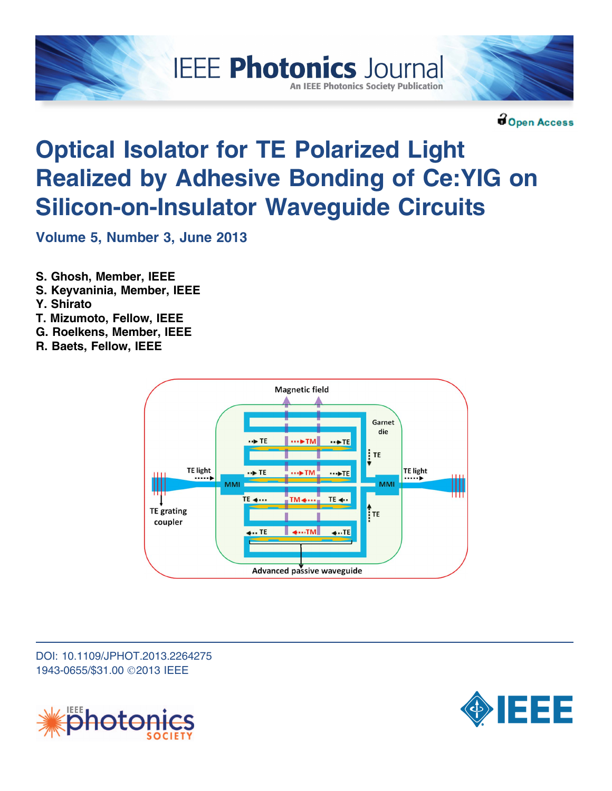



**BOpen Access** 

# Optical Isolator for TE Polarized Light Realized by Adhesive Bonding of Ce:YIG on Silicon-on-Insulator Waveguide Circuits

**IEEE Photonics Journal** 

**An IEEE Photonics Society Publication** 

Volume 5, Number 3, June 2013

- S. Ghosh, Member, IEEE
- S. Keyvaninia, Member, IEEE
- Y. Shirato
- T. Mizumoto, Fellow, IEEE
- G. Roelkens, Member, IEEE
- R. Baets, Fellow, IEEE



DOI: 10.1109/JPHOT.2013.2264275 1943-0655/\$31.00 ©2013 IEEE



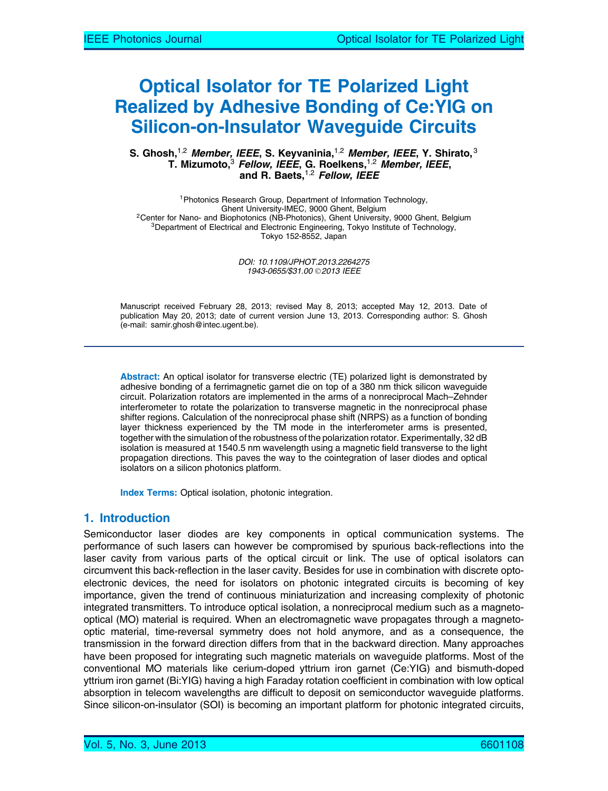# Optical Isolator for TE Polarized Light Realized by Adhesive Bonding of Ce:YIG on Silicon-on-Insulator Waveguide Circuits

#### S. Ghosh, $^{1,2}$  *Member, IEEE*, S. Keyvaninia, $^{1,2}$  *Member, IEEE*, Y. Shirato, $^3$ T. Mizumoto, $^3$  *Fellow, IEEE*, G. Roelkens, $^{1,2}$  *Member, IEEE*, and R. Baets,  $1,2$  Fellow, IEEE

<sup>1</sup>Photonics Research Group, Department of Information Technology,<br>Ghent University-IMEC, 9000 Ghent, Belgium <sup>2</sup>Center for Nano- and Biophotonics (NB-Photonics), Ghent University, 9000 Ghent, Belgium <sup>3</sup>Department of Electrical and Electronic Engineering, Tokyo Institute of Technology, Tokyo 152-8552, Japan

> DOI: 10.1109/JPHOT.2013.2264275 1943-0655/\$31.00 © 2013 IEEE

Manuscript received February 28, 2013; revised May 8, 2013; accepted May 12, 2013. Date of publication May 20, 2013; date of current version June 13, 2013. Corresponding author: S. Ghosh (e-mail: samir.ghosh@intec.ugent.be).

Abstract: An optical isolator for transverse electric (TE) polarized light is demonstrated by adhesive bonding of a ferrimagnetic garnet die on top of a 380 nm thick silicon waveguide circuit. Polarization rotators are implemented in the arms of a nonreciprocal Mach–Zehnder interferometer to rotate the polarization to transverse magnetic in the nonreciprocal phase shifter regions. Calculation of the nonreciprocal phase shift (NRPS) as a function of bonding layer thickness experienced by the TM mode in the interferometer arms is presented, together with the simulation of the robustness of the polarization rotator. Experimentally, 32 dB isolation is measured at 1540.5 nm wavelength using a magnetic field transverse to the light propagation directions. This paves the way to the cointegration of laser diodes and optical isolators on a silicon photonics platform.

Index Terms: Optical isolation, photonic integration.

### 1. Introduction

Semiconductor laser diodes are key components in optical communication systems. The performance of such lasers can however be compromised by spurious back-reflections into the laser cavity from various parts of the optical circuit or link. The use of optical isolators can circumvent this back-reflection in the laser cavity. Besides for use in combination with discrete optoelectronic devices, the need for isolators on photonic integrated circuits is becoming of key importance, given the trend of continuous miniaturization and increasing complexity of photonic integrated transmitters. To introduce optical isolation, a nonreciprocal medium such as a magnetooptical (MO) material is required. When an electromagnetic wave propagates through a magnetooptic material, time-reversal symmetry does not hold anymore, and as a consequence, the transmission in the forward direction differs from that in the backward direction. Many approaches have been proposed for integrating such magnetic materials on waveguide platforms. Most of the conventional MO materials like cerium-doped yttrium iron garnet (Ce:YIG) and bismuth-doped yttrium iron garnet (Bi:YIG) having a high Faraday rotation coefficient in combination with low optical absorption in telecom wavelengths are difficult to deposit on semiconductor waveguide platforms. Since silicon-on-insulator (SOI) is becoming an important platform for photonic integrated circuits,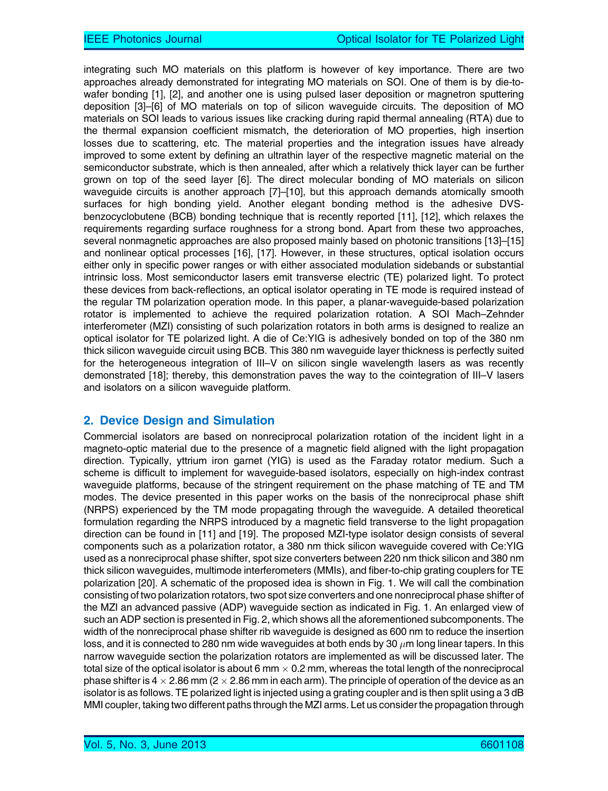integrating such MO materials on this platform is however of key importance. There are two approaches already demonstrated for integrating MO materials on SOI. One of them is by die-towafer bonding [1], [2], and another one is using pulsed laser deposition or magnetron sputtering deposition [3]–[6] of MO materials on top of silicon waveguide circuits. The deposition of MO materials on SOI leads to various issues like cracking during rapid thermal annealing (RTA) due to the thermal expansion coefficient mismatch, the deterioration of MO properties, high insertion losses due to scattering, etc. The material properties and the integration issues have already improved to some extent by defining an ultrathin layer of the respective magnetic material on the semiconductor substrate, which is then annealed, after which a relatively thick layer can be further grown on top of the seed layer [6]. The direct molecular bonding of MO materials on silicon waveguide circuits is another approach [7]–[10], but this approach demands atomically smooth surfaces for high bonding yield. Another elegant bonding method is the adhesive DVSbenzocyclobutene (BCB) bonding technique that is recently reported [11], [12], which relaxes the requirements regarding surface roughness for a strong bond. Apart from these two approaches, several nonmagnetic approaches are also proposed mainly based on photonic transitions [13]–[15] and nonlinear optical processes [16], [17]. However, in these structures, optical isolation occurs either only in specific power ranges or with either associated modulation sidebands or substantial intrinsic loss. Most semiconductor lasers emit transverse electric (TE) polarized light. To protect these devices from back-reflections, an optical isolator operating in TE mode is required instead of the regular TM polarization operation mode. In this paper, a planar-waveguide-based polarization rotator is implemented to achieve the required polarization rotation. A SOI Mach–Zehnder interferometer (MZI) consisting of such polarization rotators in both arms is designed to realize an optical isolator for TE polarized light. A die of Ce:YIG is adhesively bonded on top of the 380 nm thick silicon waveguide circuit using BCB. This 380 nm waveguide layer thickness is perfectly suited for the heterogeneous integration of III–V on silicon single wavelength lasers as was recently demonstrated [18]; thereby, this demonstration paves the way to the cointegration of III–V lasers and isolators on a silicon waveguide platform.

## 2. Device Design and Simulation

Commercial isolators are based on nonreciprocal polarization rotation of the incident light in a magneto-optic material due to the presence of a magnetic field aligned with the light propagation direction. Typically, yttrium iron garnet (YIG) is used as the Faraday rotator medium. Such a scheme is difficult to implement for waveguide-based isolators, especially on high-index contrast waveguide platforms, because of the stringent requirement on the phase matching of TE and TM modes. The device presented in this paper works on the basis of the nonreciprocal phase shift (NRPS) experienced by the TM mode propagating through the waveguide. A detailed theoretical formulation regarding the NRPS introduced by a magnetic field transverse to the light propagation direction can be found in [11] and [19]. The proposed MZI-type isolator design consists of several components such as a polarization rotator, a 380 nm thick silicon waveguide covered with Ce:YIG used as a nonreciprocal phase shifter, spot size converters between 220 nm thick silicon and 380 nm thick silicon waveguides, multimode interferometers (MMIs), and fiber-to-chip grating couplers for TE polarization [20]. A schematic of the proposed idea is shown in Fig. 1. We will call the combination consisting of two polarization rotators, two spot size converters and one nonreciprocal phase shifter of the MZI an advanced passive (ADP) waveguide section as indicated in Fig. 1. An enlarged view of such an ADP section is presented in Fig. 2, which shows all the aforementioned subcomponents. The width of the nonreciprocal phase shifter rib waveguide is designed as 600 nm to reduce the insertion loss, and it is connected to 280 nm wide waveguides at both ends by 30  $\mu$ m long linear tapers. In this narrow waveguide section the polarization rotators are implemented as will be discussed later. The total size of the optical isolator is about 6 mm  $\times$  0.2 mm, whereas the total length of the nonreciprocal phase shifter is 4  $\times$  2.86 mm (2  $\times$  2.86 mm in each arm). The principle of operation of the device as an isolator is as follows. TE polarized light is injected using a grating coupler and is then split using a 3 dB MMI coupler, taking two different paths through the MZI arms. Let us consider the propagation through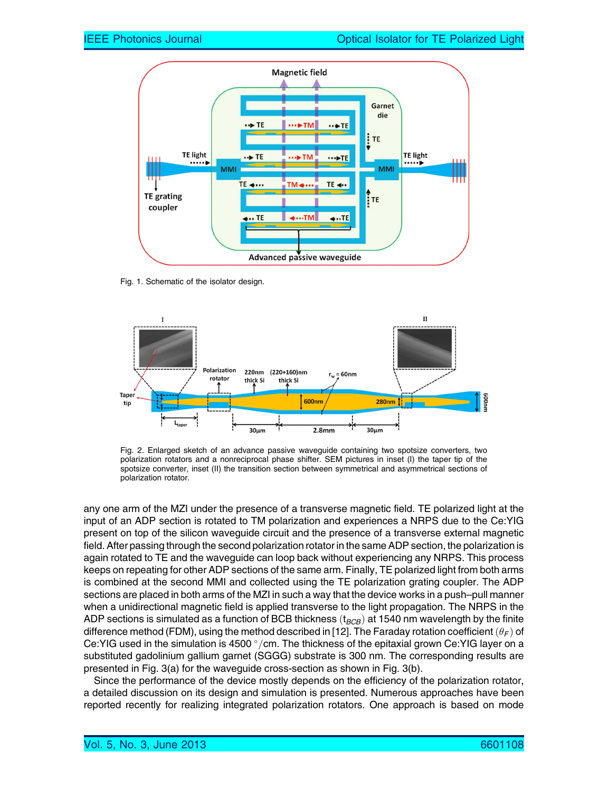

Fig. 1. Schematic of the isolator design.



Fig. 2. Enlarged sketch of an advance passive waveguide containing two spotsize converters, two polarization rotators and a nonreciprocal phase shifter. SEM pictures in inset (I) the taper tip of the spotsize converter, inset (II) the transition section between symmetrical and asymmetrical sections of polarization rotator.

any one arm of the MZI under the presence of a transverse magnetic field. TE polarized light at the input of an ADP section is rotated to TM polarization and experiences a NRPS due to the Ce:YIG present on top of the silicon waveguide circuit and the presence of a transverse external magnetic field. After passing through the second polarization rotator in the same ADP section, the polarization is again rotated to TE and the waveguide can loop back without experiencing any NRPS. This process keeps on repeating for other ADP sections of the same arm. Finally, TE polarized light from both arms is combined at the second MMI and collected using the TE polarization grating coupler. The ADP sections are placed in both arms of the MZI in such a way that the device works in a push–pull manner when a unidirectional magnetic field is applied transverse to the light propagation. The NRPS in the ADP sections is simulated as a function of BCB thickness ( $t_{BCB}$ ) at 1540 nm wavelength by the finite difference method (FDM), using the method described in [12]. The Faraday rotation coefficient  $(\theta_F)$  of Ce:YIG used in the simulation is 4500  $\degree$ /cm. The thickness of the epitaxial grown Ce:YIG layer on a substituted gadolinium gallium garnet (SGGG) substrate is 300 nm. The corresponding results are presented in Fig. 3(a) for the waveguide cross-section as shown in Fig. 3(b).

Since the performance of the device mostly depends on the efficiency of the polarization rotator, a detailed discussion on its design and simulation is presented. Numerous approaches have been reported recently for realizing integrated polarization rotators. One approach is based on mode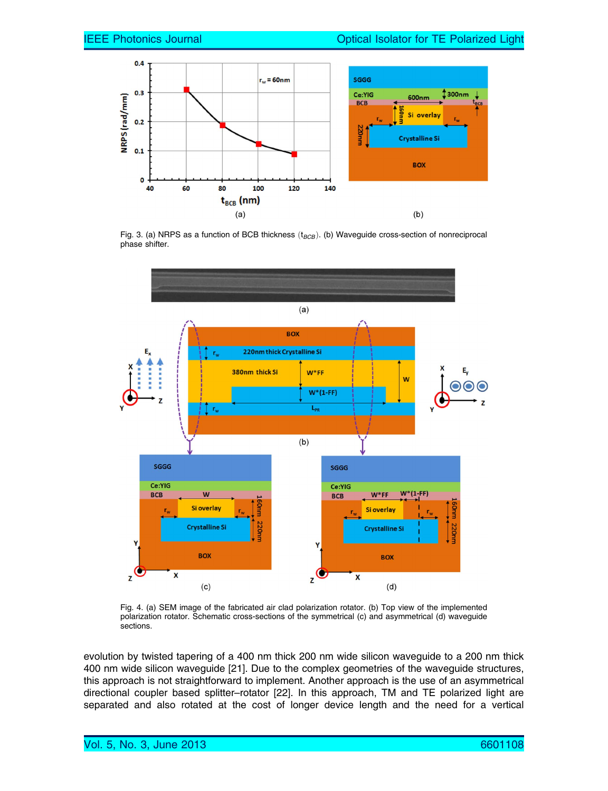

Fig. 3. (a) NRPS as a function of BCB thickness  $(t_{BCB})$ . (b) Waveguide cross-section of nonreciprocal phase shifter.



Fig. 4. (a) SEM image of the fabricated air clad polarization rotator. (b) Top view of the implemented polarization rotator. Schematic cross-sections of the symmetrical (c) and asymmetrical (d) waveguide sections.

evolution by twisted tapering of a 400 nm thick 200 nm wide silicon waveguide to a 200 nm thick 400 nm wide silicon waveguide [21]. Due to the complex geometries of the waveguide structures, this approach is not straightforward to implement. Another approach is the use of an asymmetrical directional coupler based splitter–rotator [22]. In this approach, TM and TE polarized light are separated and also rotated at the cost of longer device length and the need for a vertical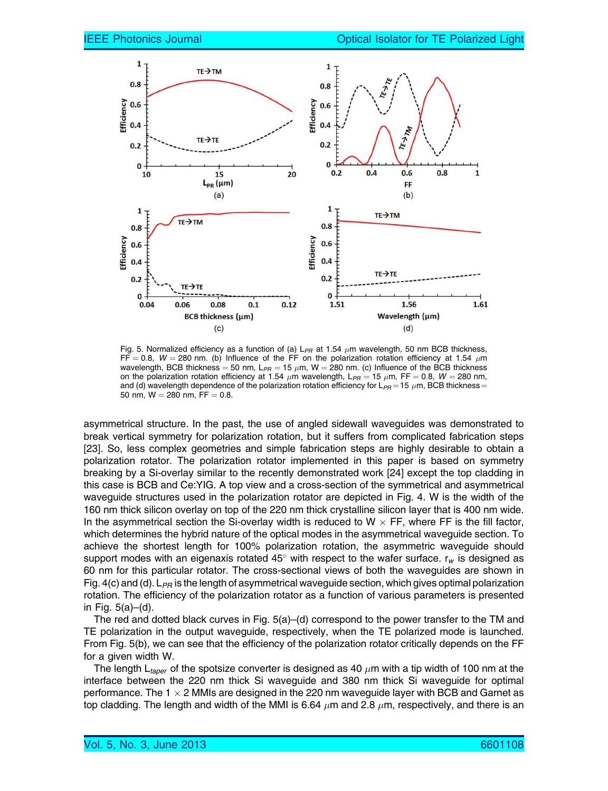

Fig. 5. Normalized efficiency as a function of (a)  $L_{PR}$  at 1.54  $\mu$ m wavelength, 50 nm BCB thickness, FF = 0.8, W = 280 nm. (b) Influence of the FF on the polarization rotation efficiency at 1.54  $\mu$ m wavelength, BCB thickness  $=$  50 nm, L $_{PR}$   $=$  15  $\mu$ m, W  $=$  280 nm. (c) Influence of the BCB thickness on the polarization rotation efficiency at 1.54  $\mu$ m wavelength, L<sub>PR</sub> = 15  $\mu$ m, FF = 0.8, W = 280 nm, and (d) wavelength dependence of the polarization rotation efficiency for L $_{\sf PR}$  = 15  $\mu$ m, BCB thickness = 50 nm,  $W = 280$  nm,  $FF = 0.8$ .

asymmetrical structure. In the past, the use of angled sidewall waveguides was demonstrated to break vertical symmetry for polarization rotation, but it suffers from complicated fabrication steps [23]. So, less complex geometries and simple fabrication steps are highly desirable to obtain a polarization rotator. The polarization rotator implemented in this paper is based on symmetry breaking by a Si-overlay similar to the recently demonstrated work [24] except the top cladding in this case is BCB and Ce:YIG. A top view and a cross-section of the symmetrical and asymmetrical waveguide structures used in the polarization rotator are depicted in Fig. 4. W is the width of the 160 nm thick silicon overlay on top of the 220 nm thick crystalline silicon layer that is 400 nm wide. In the asymmetrical section the Si-overlay width is reduced to W  $\times$  FF, where FF is the fill factor, which determines the hybrid nature of the optical modes in the asymmetrical waveguide section. To achieve the shortest length for 100% polarization rotation, the asymmetric waveguide should support modes with an eigenaxis rotated 45° with respect to the wafer surface.  $r_w$  is designed as 60 nm for this particular rotator. The cross-sectional views of both the waveguides are shown in Fig. 4(c) and (d).  $L_{PR}$  is the length of asymmetrical waveguide section, which gives optimal polarization rotation. The efficiency of the polarization rotator as a function of various parameters is presented in Fig. 5(a)–(d).

The red and dotted black curves in Fig. 5(a)–(d) correspond to the power transfer to the TM and TE polarization in the output waveguide, respectively, when the TE polarized mode is launched. From Fig. 5(b), we can see that the efficiency of the polarization rotator critically depends on the FF for a given width W.

The length L<sub>taper</sub> of the spotsize converter is designed as 40  $\mu$ m with a tip width of 100 nm at the interface between the 220 nm thick Si waveguide and 380 nm thick Si waveguide for optimal performance. The 1  $\times$  2 MMIs are designed in the 220 nm waveguide layer with BCB and Garnet as top cladding. The length and width of the MMI is 6.64  $\mu$ m and 2.8  $\mu$ m, respectively, and there is an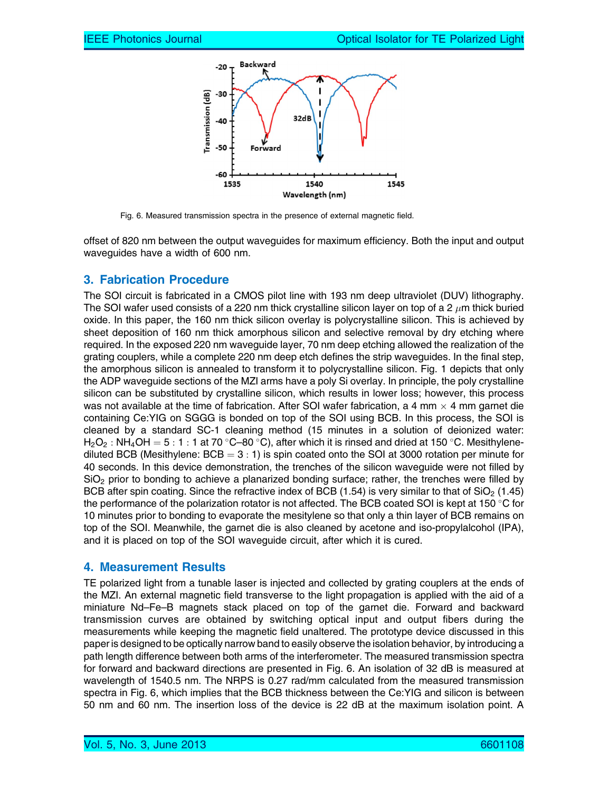

Fig. 6. Measured transmission spectra in the presence of external magnetic field.

offset of 820 nm between the output waveguides for maximum efficiency. Both the input and output waveguides have a width of 600 nm.

### 3. Fabrication Procedure

The SOI circuit is fabricated in a CMOS pilot line with 193 nm deep ultraviolet (DUV) lithography. The SOI wafer used consists of a 220 nm thick crystalline silicon layer on top of a 2  $\mu$ m thick buried oxide. In this paper, the 160 nm thick silicon overlay is polycrystalline silicon. This is achieved by sheet deposition of 160 nm thick amorphous silicon and selective removal by dry etching where required. In the exposed 220 nm waveguide layer, 70 nm deep etching allowed the realization of the grating couplers, while a complete 220 nm deep etch defines the strip waveguides. In the final step, the amorphous silicon is annealed to transform it to polycrystalline silicon. Fig. 1 depicts that only the ADP waveguide sections of the MZI arms have a poly Si overlay. In principle, the poly crystalline silicon can be substituted by crystalline silicon, which results in lower loss; however, this process was not available at the time of fabrication. After SOI wafer fabrication, a 4 mm  $\times$  4 mm garnet die containing Ce:YIG on SGGG is bonded on top of the SOI using BCB. In this process, the SOI is cleaned by a standard SC-1 cleaning method (15 minutes in a solution of deionized water:  $H_2O_2$ : NH<sub>4</sub>OH = 5 : 1 : 1 at 70 °C–80 °C), after which it is rinsed and dried at 150 °C. Mesithylenediluted BCB (Mesithylene:  $BCB = 3 : 1$ ) is spin coated onto the SOI at 3000 rotation per minute for 40 seconds. In this device demonstration, the trenches of the silicon waveguide were not filled by  $SiO<sub>2</sub>$  prior to bonding to achieve a planarized bonding surface; rather, the trenches were filled by BCB after spin coating. Since the refractive index of BCB (1.54) is very similar to that of  $SiO<sub>2</sub>$  (1.45) the performance of the polarization rotator is not affected. The BCB coated SOI is kept at 150  $\degree$ C for 10 minutes prior to bonding to evaporate the mesitylene so that only a thin layer of BCB remains on top of the SOI. Meanwhile, the garnet die is also cleaned by acetone and iso-propylalcohol (IPA), and it is placed on top of the SOI waveguide circuit, after which it is cured.

### 4. Measurement Results

TE polarized light from a tunable laser is injected and collected by grating couplers at the ends of the MZI. An external magnetic field transverse to the light propagation is applied with the aid of a miniature Nd–Fe–B magnets stack placed on top of the garnet die. Forward and backward transmission curves are obtained by switching optical input and output fibers during the measurements while keeping the magnetic field unaltered. The prototype device discussed in this paper is designed to be optically narrow band to easily observe the isolation behavior, by introducing a path length difference between both arms of the interferometer. The measured transmission spectra for forward and backward directions are presented in Fig. 6. An isolation of 32 dB is measured at wavelength of 1540.5 nm. The NRPS is 0.27 rad/mm calculated from the measured transmission spectra in Fig. 6, which implies that the BCB thickness between the Ce:YIG and silicon is between 50 nm and 60 nm. The insertion loss of the device is 22 dB at the maximum isolation point. A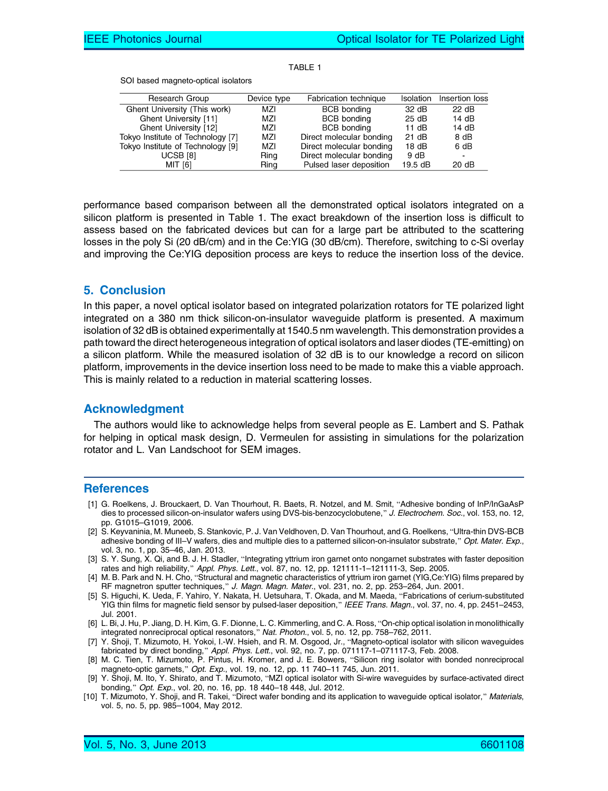| <b>TABLE 1</b> |
|----------------|
|----------------|

SOI based magneto-optical isolators

| Research Group                    | Device type | Fabrication technique    |                   | Isolation Insertion loss |
|-----------------------------------|-------------|--------------------------|-------------------|--------------------------|
| Ghent University (This work)      | MZI         | <b>BCB</b> bonding       | 32 dB             | 22 dB                    |
| Ghent University [11]             | MZI         | <b>BCB</b> bonding       | 25dB              | 14dB                     |
| Ghent University [12]             | MZI         | <b>BCB</b> bonding       | 11 dB             | 14dB                     |
| Tokyo Institute of Technology [7] | MZI         | Direct molecular bonding | 21 dB             | 8 dB                     |
| Tokyo Institute of Technology [9] | MZI         | Direct molecular bonding | 18dB              | 6 dB                     |
| <b>UCSB [8]</b>                   | Ring        | Direct molecular bonding | 9 dB              | $\blacksquare$           |
| MIT [6]                           | Ring        | Pulsed laser deposition  | $19.5 \text{ dB}$ | 20 dB                    |

performance based comparison between all the demonstrated optical isolators integrated on a silicon platform is presented in Table 1. The exact breakdown of the insertion loss is difficult to assess based on the fabricated devices but can for a large part be attributed to the scattering losses in the poly Si (20 dB/cm) and in the Ce:YIG (30 dB/cm). Therefore, switching to c-Si overlay and improving the Ce:YIG deposition process are keys to reduce the insertion loss of the device.

#### 5. Conclusion

In this paper, a novel optical isolator based on integrated polarization rotators for TE polarized light integrated on a 380 nm thick silicon-on-insulator waveguide platform is presented. A maximum isolation of 32 dB is obtained experimentally at 1540.5 nm wavelength. This demonstration provides a path toward the direct heterogeneous integration of optical isolators and laser diodes (TE-emitting) on a silicon platform. While the measured isolation of 32 dB is to our knowledge a record on silicon platform, improvements in the device insertion loss need to be made to make this a viable approach. This is mainly related to a reduction in material scattering losses.

#### Acknowledgment

The authors would like to acknowledge helps from several people as E. Lambert and S. Pathak for helping in optical mask design, D. Vermeulen for assisting in simulations for the polarization rotator and L. Van Landschoot for SEM images.

#### **References**

- [1] G. Roelkens, J. Brouckaert, D. Van Thourhout, R. Baets, R. Notzel, and M. Smit, "Adhesive bonding of InP/InGaAsP dies to processed silicon-on-insulator wafers using DVS-bis-benzocyclobutene," J. Electrochem. Soc., vol. 153, no. 12, pp. G1015–G1019, 2006.
- [2] S. Keyvaninia, M. Muneeb, S. Stankovic, P. J. Van Veldhoven, D. Van Thourhout, and G. Roelkens, "Ultra-thin DVS-BCB adhesive bonding of III–V wafers, dies and multiple dies to a patterned silicon-on-insulator substrate," Opt. Mater. Exp., vol. 3, no. 1, pp. 35–46, Jan. 2013.
- [3] S. Y. Sung, X. Qi, and B. J. H. Stadler, "Integrating yttrium iron garnet onto nongarnet substrates with faster deposition rates and high reliability," Appl. Phys. Lett., vol. 87, no. 12, pp. 121111-1-121111-3, Sep. 2005.
- [4] M. B. Park and N. H. Cho, "Structural and magnetic characteristics of yttrium iron garnet (YIG,Ce:YIG) films prepared by RF magnetron sputter techniques," J. Magn. Magn. Mater., vol. 231, no. 2, pp. 253–264, Jun. 2001.
- [5] S. Higuchi, K. Ueda, F. Yahiro, Y. Nakata, H. Uetsuhara, T. Okada, and M. Maeda, "Fabrications of cerium-substituted YIG thin films for magnetic field sensor by pulsed-laser deposition," IEEE Trans. Magn., vol. 37, no. 4, pp. 2451–2453, Jul. 2001.
- [6] L. Bi, J. Hu, P. Jiang, D. H. Kim, G. F. Dionne, L. C. Kimmerling, and C. A. Ross, "On-chip optical isolation in monolithically integrated nonreciprocal optical resonators," Nat. Photon., vol. 5, no. 12, pp. 758–762, 2011.
- [7] Y. Shoji, T. Mizumoto, H. Yokoi, I.-W. Hsieh, and R. M. Osgood, Jr., "Magneto-optical isolator with silicon waveguides fabricated by direct bonding," Appl. Phys. Lett., vol. 92, no. 7, pp. 071117-1-071117-3, Feb. 2008.
- [8] M. C. Tien, T. Mizumoto, P. Pintus, H. Kromer, and J. E. Bowers, "Silicon ring isolator with bonded nonreciprocal magneto-optic garnets," Opt. Exp., vol. 19, no. 12, pp. 11 740–11 745, Jun. 2011.
- [9] Y. Shoji, M. Ito, Y. Shirato, and T. Mizumoto, "MZI optical isolator with Si-wire waveguides by surface-activated direct bonding," Opt. Exp., vol. 20, no. 16, pp. 18 440-18 448, Jul. 2012.
- [10] T. Mizumoto, Y. Shoji, and R. Takei, "Direct wafer bonding and its application to waveguide optical isolator," Materials, vol. 5, no. 5, pp. 985–1004, May 2012.